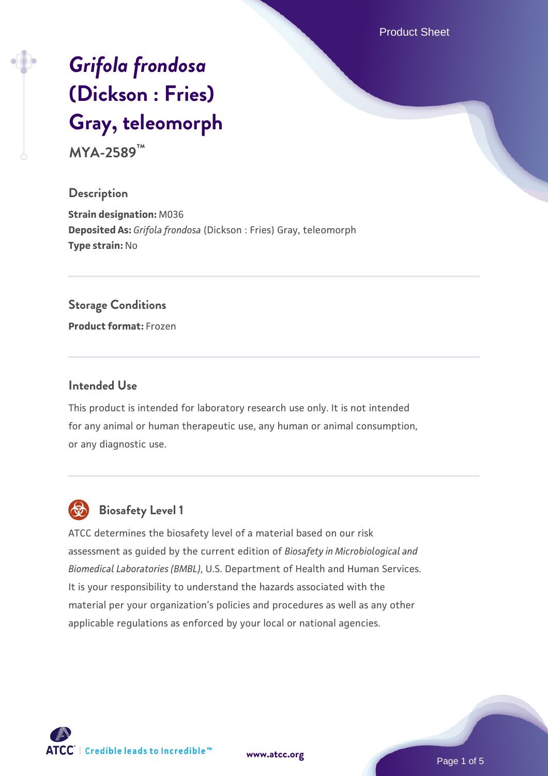Product Sheet

# *[Grifola frondosa](https://www.atcc.org/products/mya-2589)* **[\(Dickson : Fries\)](https://www.atcc.org/products/mya-2589) [Gray, teleomorph](https://www.atcc.org/products/mya-2589)**

**MYA-2589™**

#### **Description**

**Strain designation:** M036 **Deposited As:** *Grifola frondosa* (Dickson : Fries) Gray, teleomorph **Type strain:** No

#### **Storage Conditions**

**Product format:** Frozen

### **Intended Use**

This product is intended for laboratory research use only. It is not intended for any animal or human therapeutic use, any human or animal consumption, or any diagnostic use.



# **Biosafety Level 1**

ATCC determines the biosafety level of a material based on our risk assessment as guided by the current edition of *Biosafety in Microbiological and Biomedical Laboratories (BMBL)*, U.S. Department of Health and Human Services. It is your responsibility to understand the hazards associated with the material per your organization's policies and procedures as well as any other applicable regulations as enforced by your local or national agencies.

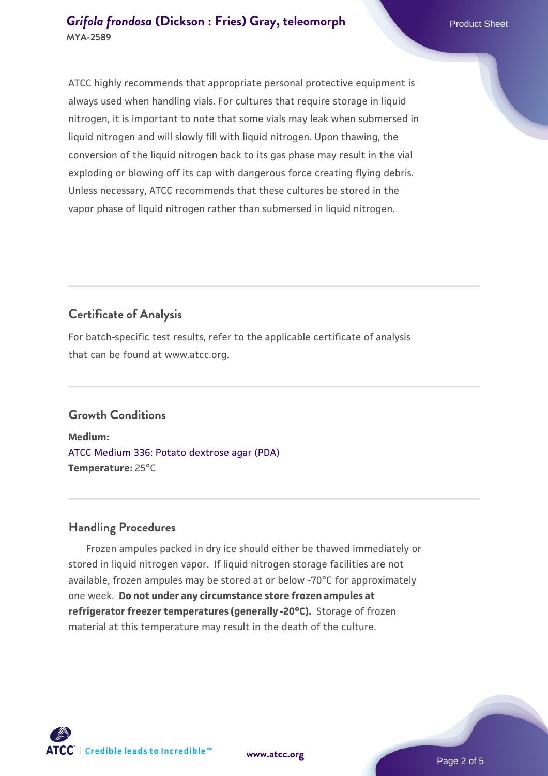ATCC highly recommends that appropriate personal protective equipment is always used when handling vials. For cultures that require storage in liquid nitrogen, it is important to note that some vials may leak when submersed in liquid nitrogen and will slowly fill with liquid nitrogen. Upon thawing, the conversion of the liquid nitrogen back to its gas phase may result in the vial exploding or blowing off its cap with dangerous force creating flying debris. Unless necessary, ATCC recommends that these cultures be stored in the vapor phase of liquid nitrogen rather than submersed in liquid nitrogen.

# **Certificate of Analysis**

For batch-specific test results, refer to the applicable certificate of analysis that can be found at www.atcc.org.

# **Growth Conditions**

**Medium:**  [ATCC Medium 336: Potato dextrose agar \(PDA\)](https://www.atcc.org/-/media/product-assets/documents/microbial-media-formulations/3/3/6/atcc-medium-336.pdf?rev=d9160ad44d934cd8b65175461abbf3b9) **Temperature:** 25°C

# **Handling Procedures**

 Frozen ampules packed in dry ice should either be thawed immediately or stored in liquid nitrogen vapor. If liquid nitrogen storage facilities are not available, frozen ampules may be stored at or below -70°C for approximately one week. **Do not under any circumstance store frozen ampules at refrigerator freezer temperatures (generally -20°C).** Storage of frozen material at this temperature may result in the death of the culture.



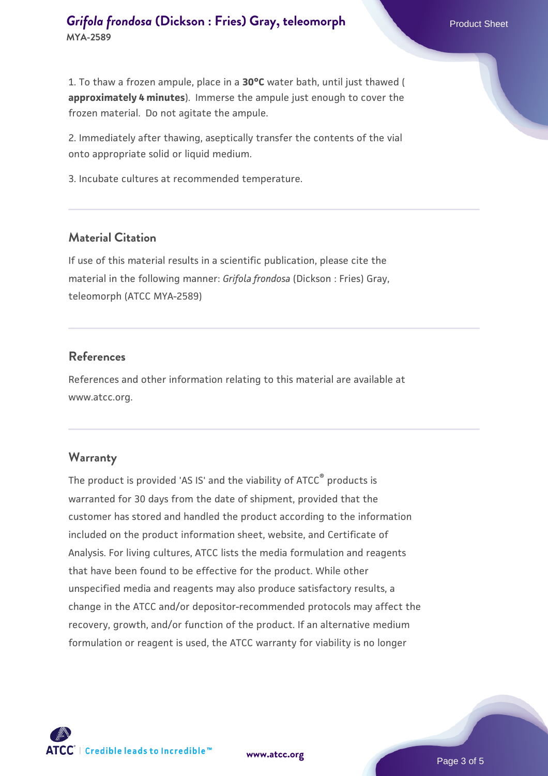1. To thaw a frozen ampule, place in a **30°C** water bath, until just thawed ( **approximately 4 minutes**). Immerse the ampule just enough to cover the frozen material. Do not agitate the ampule.

2. Immediately after thawing, aseptically transfer the contents of the vial onto appropriate solid or liquid medium.

3. Incubate cultures at recommended temperature.

#### **Material Citation**

If use of this material results in a scientific publication, please cite the material in the following manner: *Grifola frondosa* (Dickson : Fries) Gray, teleomorph (ATCC MYA-2589)

#### **References**

References and other information relating to this material are available at www.atcc.org.

#### **Warranty**

The product is provided 'AS IS' and the viability of ATCC® products is warranted for 30 days from the date of shipment, provided that the customer has stored and handled the product according to the information included on the product information sheet, website, and Certificate of Analysis. For living cultures, ATCC lists the media formulation and reagents that have been found to be effective for the product. While other unspecified media and reagents may also produce satisfactory results, a change in the ATCC and/or depositor-recommended protocols may affect the recovery, growth, and/or function of the product. If an alternative medium formulation or reagent is used, the ATCC warranty for viability is no longer



**[www.atcc.org](http://www.atcc.org)**

Page 3 of 5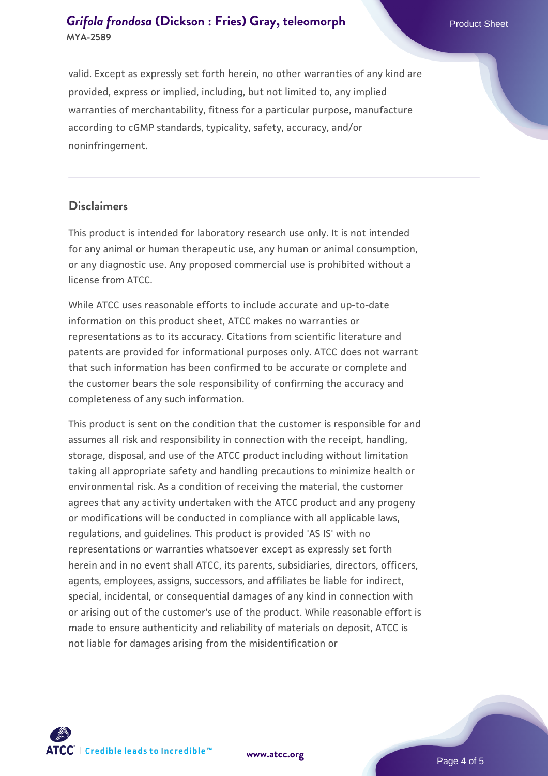valid. Except as expressly set forth herein, no other warranties of any kind are provided, express or implied, including, but not limited to, any implied warranties of merchantability, fitness for a particular purpose, manufacture according to cGMP standards, typicality, safety, accuracy, and/or noninfringement.

#### **Disclaimers**

This product is intended for laboratory research use only. It is not intended for any animal or human therapeutic use, any human or animal consumption, or any diagnostic use. Any proposed commercial use is prohibited without a license from ATCC.

While ATCC uses reasonable efforts to include accurate and up-to-date information on this product sheet, ATCC makes no warranties or representations as to its accuracy. Citations from scientific literature and patents are provided for informational purposes only. ATCC does not warrant that such information has been confirmed to be accurate or complete and the customer bears the sole responsibility of confirming the accuracy and completeness of any such information.

This product is sent on the condition that the customer is responsible for and assumes all risk and responsibility in connection with the receipt, handling, storage, disposal, and use of the ATCC product including without limitation taking all appropriate safety and handling precautions to minimize health or environmental risk. As a condition of receiving the material, the customer agrees that any activity undertaken with the ATCC product and any progeny or modifications will be conducted in compliance with all applicable laws, regulations, and guidelines. This product is provided 'AS IS' with no representations or warranties whatsoever except as expressly set forth herein and in no event shall ATCC, its parents, subsidiaries, directors, officers, agents, employees, assigns, successors, and affiliates be liable for indirect, special, incidental, or consequential damages of any kind in connection with or arising out of the customer's use of the product. While reasonable effort is made to ensure authenticity and reliability of materials on deposit, ATCC is not liable for damages arising from the misidentification or

**[www.atcc.org](http://www.atcc.org)**